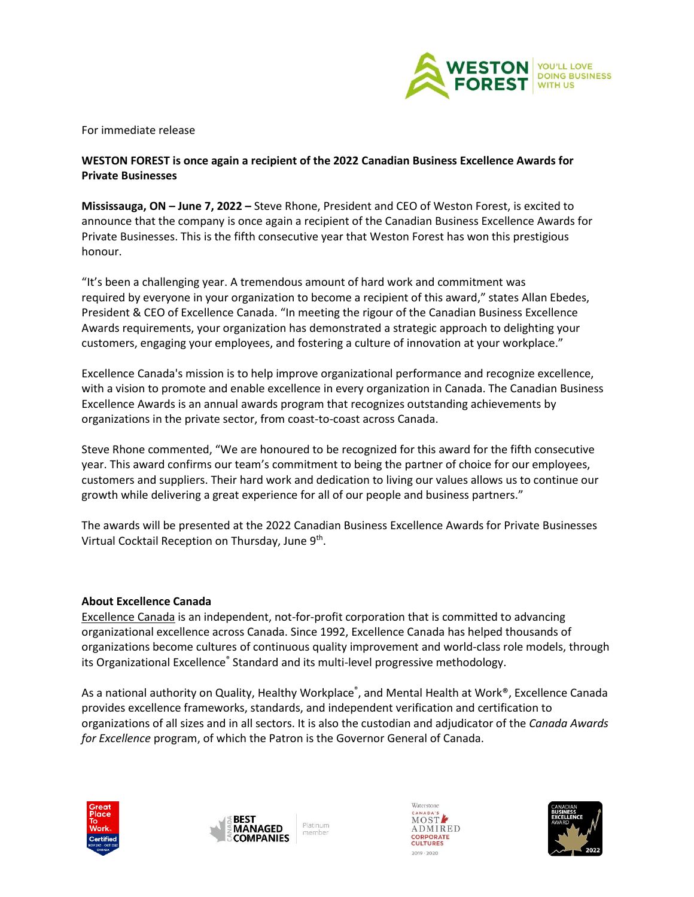

For immediate release

## **WESTON FOREST is once again a recipient of the 2022 Canadian Business Excellence Awards for Private Businesses**

**Mississauga, ON – June 7, 2022 –** Steve Rhone, President and CEO of Weston Forest, is excited to announce that the company is once again a recipient of the Canadian Business Excellence Awards for Private Businesses. This is the fifth consecutive year that Weston Forest has won this prestigious honour.

"It's been a challenging year. A tremendous amount of hard work and commitment was required by everyone in your organization to become a recipient of this award," states Allan Ebedes, President & CEO of Excellence Canada. "In meeting the rigour of the Canadian Business Excellence Awards requirements, your organization has demonstrated a strategic approach to delighting your customers, engaging your employees, and fostering a culture of innovation at your workplace."

Excellence Canada's mission is to help improve organizational performance and recognize excellence, with a vision to promote and enable excellence in every organization in Canada. The Canadian Business Excellence Awards is an annual awards program that recognizes outstanding achievements by organizations in the private sector, from coast-to-coast across Canada.

Steve Rhone commented, "We are honoured to be recognized for this award for the fifth consecutive year. This award confirms our team's commitment to being the partner of choice for our employees, customers and suppliers. Their hard work and dedication to living our values allows us to continue our growth while delivering a great experience for all of our people and business partners."

The awards will be presented at the 2022 Canadian Business Excellence Awards for Private Businesses Virtual Cocktail Reception on Thursday, June 9<sup>th</sup>.

## **About Excellence Canada**

[Excellence Canada](https://excellence.ca/) is an independent, not-for-profit corporation that is committed to advancing organizational excellence across Canada. Since 1992, Excellence Canada has helped thousands of organizations become cultures of continuous quality improvement and world-class role models, through its Organizational Excellence® Standard and its multi-level progressive methodology.

As a national authority on Quality, Healthy Workplace<sup>®</sup>, and Mental Health at Work®, Excellence Canada provides excellence frameworks, standards, and independent verification and certification to organizations of all sizes and in all sectors. It is also the custodian and adjudicator of the *Canada Awards for Excellence* program, of which the Patron is the Governor General of Canada.